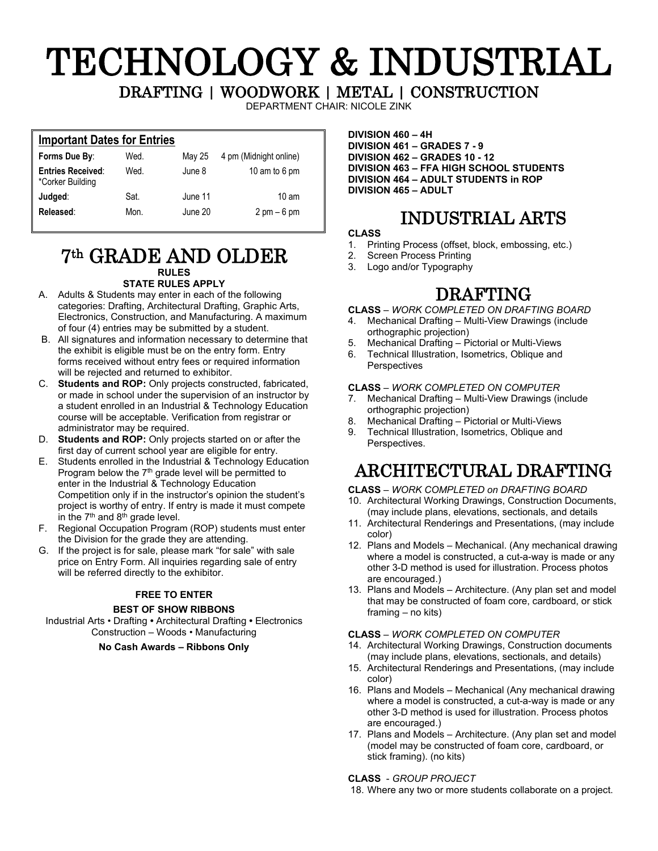# TECHNOLOGY & INDUSTRIAL DRAFTING | WOODWORK | METAL | CONSTRUCTION

DEPARTMENT CHAIR: NICOLE ZINK

## **Important Dates for Entries**

|      | 4 pm (Midnight online)                         |
|------|------------------------------------------------|
| Wed. | 10 am to 6 pm                                  |
| Sat. | $10 \text{ am}$                                |
| Mon. | $2 \text{ pm} - 6 \text{ pm}$                  |
|      | Wed.<br>May 25<br>June 8<br>June 11<br>June 20 |

### 7th GRADE AND OLDER **RULES STATE RULES APPLY**

#### A. Adults & Students may enter in each of the following categories: Drafting, Architectural Drafting, Graphic Arts, Electronics, Construction, and Manufacturing. A maximum

- of four (4) entries may be submitted by a student. B. All signatures and information necessary to determine that the exhibit is eligible must be on the entry form. Entry forms received without entry fees or required information will be rejected and returned to exhibitor.
- C. **Students and ROP:** Only projects constructed, fabricated, or made in school under the supervision of an instructor by a student enrolled in an Industrial & Technology Education course will be acceptable. Verification from registrar or administrator may be required.
- D. **Students and ROP:** Only projects started on or after the first day of current school year are eligible for entry.
- E. Students enrolled in the Industrial & Technology Education Program below the  $7<sup>th</sup>$  grade level will be permitted to enter in the Industrial & Technology Education Competition only if in the instructor's opinion the student's project is worthy of entry. If entry is made it must compete in the  $7<sup>th</sup>$  and  $8<sup>th</sup>$  grade level.
- F. Regional Occupation Program (ROP) students must enter the Division for the grade they are attending.
- G. If the project is for sale, please mark "for sale" with sale price on Entry Form. All inquiries regarding sale of entry will be referred directly to the exhibitor.

#### **FREE TO ENTER**

#### **BEST OF SHOW RIBBONS**

Industrial Arts • Drafting **•** Architectural Drafting **•** Electronics Construction – Woods • Manufacturing

#### **No Cash Awards – Ribbons Only**

**DIVISION 460 – 4H DIVISION 461 – GRADES 7 - 9 DIVISION 462 – GRADES 10 - 12 DIVISION 463 – FFA HIGH SCHOOL STUDENTS DIVISION 464 – ADULT STUDENTS in ROP DIVISION 465 – ADULT** 

## INDUSTRIAL ARTS

#### **CLASS**

- 1. Printing Process (offset, block, embossing, etc.)
- 2. Screen Process Printing<br>3. Logo and/or Typography
- Logo and/or Typography

## DRAFTING

#### **CLASS** *– WORK COMPLETED ON DRAFTING BOARD*

- 4. Mechanical Drafting Multi-View Drawings (include orthographic projection)
- 5. Mechanical Drafting Pictorial or Multi-Views
- 6. Technical Illustration, Isometrics, Oblique and Perspectives

#### **CLASS** *– WORK COMPLETED ON COMPUTER*

- 7. Mechanical Drafting Multi-View Drawings (include orthographic projection)
- 8. Mechanical Drafting Pictorial or Multi-Views
- Technical Illustration, Isometrics, Oblique and Perspectives.

## ARCHITECTURAL DRAFTING

#### **CLASS** *– WORK COMPLETED on DRAFTING BOARD*

- 10. Architectural Working Drawings, Construction Documents, (may include plans, elevations, sectionals, and details
- 11. Architectural Renderings and Presentations, (may include color)
- 12. Plans and Models Mechanical. (Any mechanical drawing where a model is constructed, a cut-a-way is made or any other 3-D method is used for illustration. Process photos are encouraged.)
- 13. Plans and Models Architecture. (Any plan set and model that may be constructed of foam core, cardboard, or stick framing – no kits)

#### **CLASS** *– WORK COMPLETED ON COMPUTER*

- 14. Architectural Working Drawings, Construction documents (may include plans, elevations, sectionals, and details)
- 15. Architectural Renderings and Presentations, (may include color)
- 16. Plans and Models Mechanical (Any mechanical drawing where a model is constructed, a cut-a-way is made or any other 3-D method is used for illustration. Process photos are encouraged.)
- 17. Plans and Models Architecture. (Any plan set and model (model may be constructed of foam core, cardboard, or stick framing). (no kits)

#### **CLASS** - *GROUP PROJECT*

18. Where any two or more students collaborate on a project.